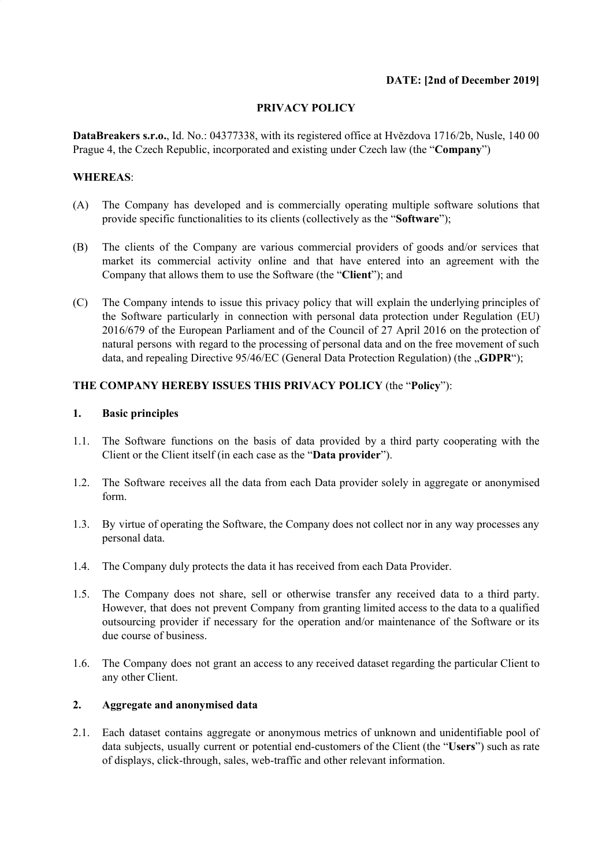### **DATE: [2nd of December 2019]**

### **PRIVACY POLICY**

**DataBreakers s.r.o.**, Id. No.: 04377338, with its registered office at Hvězdova 1716/2b, Nusle, 140 00 Prague 4, the Czech Republic, incorporated and existing under Czech law (the "**Company**")

# **WHEREAS**:

- (A) The Company has developed and is commercially operating multiple software solutions that provide specific functionalities to its clients (collectively as the "**Software**");
- (B) The clients of the Company are various commercial providers of goods and/or services that market its commercial activity online and that have entered into an agreement with the Company that allows them to use the Software (the "**Client**"); and
- (C) The Company intends to issue this privacy policy that will explain the underlying principles of the Software particularly in connection with personal data protection under Regulation (EU) 2016/679 of the European Parliament and of the Council of 27 April 2016 on the protection of natural persons with regard to the processing of personal data and on the free movement of such data, and repealing Directive 95/46/EC (General Data Protection Regulation) (the "**GDPR**");

### **THE COMPANY HEREBY ISSUES THIS PRIVACY POLICY** (the "**Policy**"):

#### **1. Basic principles**

- 1.1. The Software functions on the basis of data provided by a third party cooperating with the Client or the Client itself (in each case as the "**Data provider**").
- 1.2. The Software receives all the data from each Data provider solely in aggregate or anonymised form.
- 1.3. By virtue of operating the Software, the Company does not collect nor in any way processes any personal data.
- 1.4. The Company duly protects the data it has received from each Data Provider.
- 1.5. The Company does not share, sell or otherwise transfer any received data to a third party. However, that does not prevent Company from granting limited access to the data to a qualified outsourcing provider if necessary for the operation and/or maintenance of the Software or its due course of business.
- 1.6. The Company does not grant an access to any received dataset regarding the particular Client to any other Client.

# **2. Aggregate and anonymised data**

2.1. Each dataset contains aggregate or anonymous metrics of unknown and unidentifiable pool of data subjects, usually current or potential end-customers of the Client (the "**Users**") such as rate of displays, click-through, sales, web-traffic and other relevant information.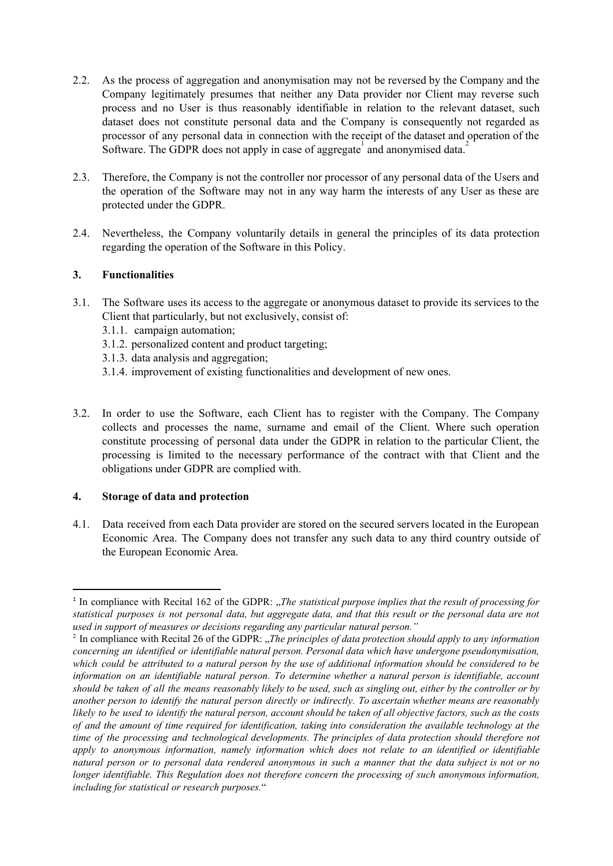- 2.2. As the process of aggregation and anonymisation may not be reversed by the Company and the Company legitimately presumes that neither any Data provider nor Client may reverse such process and no User is thus reasonably identifiable in relation to the relevant dataset, such dataset does not constitute personal data and the Company is consequently not regarded as processor of any personal data in connection with the receipt of the dataset and operation of the Software. The GDPR does not apply in case of aggregate and anonymised data.<sup>2</sup>
- 2.3. Therefore, the Company is not the controller nor processor of any personal data of the Users and the operation of the Software may not in any way harm the interests of any User as these are protected under the GDPR.
- 2.4. Nevertheless, the Company voluntarily details in general the principles of its data protection regarding the operation of the Software in this Policy.

# **3. Functionalities**

- 3.1. The Software uses its access to the aggregate or anonymous dataset to provide its services to the Client that particularly, but not exclusively, consist of:
	- 3.1.1. campaign automation;
	- 3.1.2. personalized content and product targeting;
	- 3.1.3. data analysis and aggregation;
	- 3.1.4. improvement of existing functionalities and development of new ones.
- 3.2. In order to use the Software, each Client has to register with the Company. The Company collects and processes the name, surname and email of the Client. Where such operation constitute processing of personal data under the GDPR in relation to the particular Client, the processing is limited to the necessary performance of the contract with that Client and the obligations under GDPR are complied with.

#### **4. Storage of data and protection**

4.1. Data received from each Data provider are stored on the secured servers located in the European Economic Area. The Company does not transfer any such data to any third country outside of the European Economic Area.

<sup>1</sup> In compliance with Recital 162 of the GDPR: "*The statistical purpose implies that the result of processing for* statistical purposes is not personal data, but aggregate data, and that this result or the personal data are not *used in support of measures or decisions regarding any particular natural person."*

<sup>2</sup> In compliance with Recital 26 of the GDPR: "*The principles of data protection should apply to any information concerning an identified or identifiable natural person. Personal data which have undergone pseudonymisation,* which could be attributed to a natural person by the use of additional information should be considered to be *information on an identifiable natural person. To determine whether a natural person is identifiable, account* should be taken of all the means reasonably likely to be used, such as singling out, either by the controller or by *another person to identify the natural person directly or indirectly. To ascertain whether means are reasonably* likely to be used to identify the natural person, account should be taken of all objective factors, such as the costs of and the amount of time required for identification, taking into consideration the available technology at the *time of the processing and technological developments. The principles of data protection should therefore not apply to anonymous information, namely information which does not relate to an identified or identifiable* natural person or to personal data rendered anonymous in such a manner that the data subject is not or no *longer identifiable. This Regulation does not therefore concern the processing of such anonymous information, including for statistical or research purposes.*"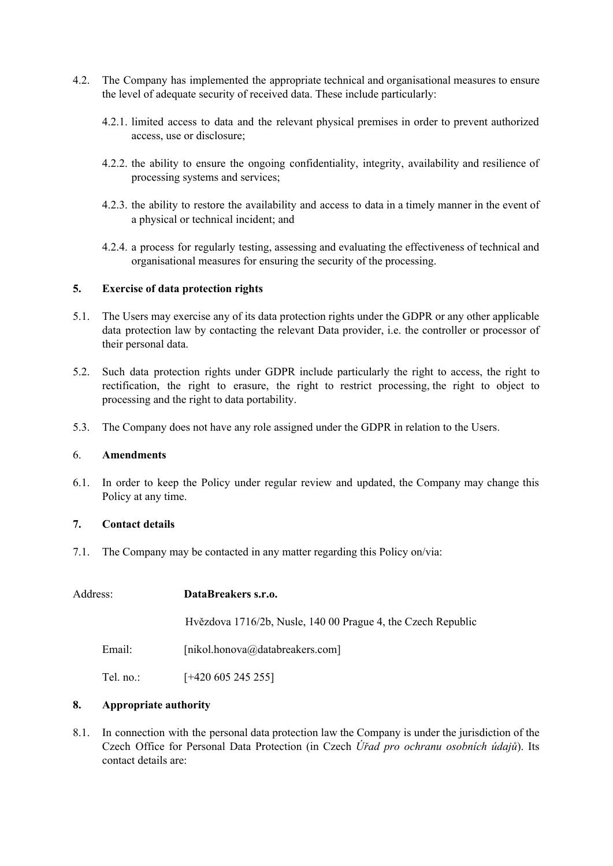- 4.2. The Company has implemented the appropriate technical and organisational measures to ensure the level of adequate security of received data. These include particularly:
	- 4.2.1. limited access to data and the relevant physical premises in order to prevent authorized access, use or disclosure;
	- 4.2.2. the ability to ensure the ongoing confidentiality, integrity, availability and resilience of processing systems and services;
	- 4.2.3. the ability to restore the availability and access to data in a timely manner in the event of a physical or technical incident; and
	- 4.2.4. a process for regularly testing, assessing and evaluating the effectiveness of technical and organisational measures for ensuring the security of the processing.

### **5. Exercise of data protection rights**

- 5.1. The Users may exercise any of its data protection rights under the GDPR or any other applicable data protection law by contacting the relevant Data provider, i.e. the controller or processor of their personal data.
- 5.2. Such data protection rights under GDPR include particularly the right to access, the right to rectification, the right to erasure, the right to restrict processing, the right to object to processing and the right to data portability.
- 5.3. The Company does not have any role assigned under the GDPR in relation to the Users.

#### 6. **Amendments**

6.1. In order to keep the Policy under regular review and updated, the Company may change this Policy at any time.

# **7. Contact details**

7.1. The Company may be contacted in any matter regarding this Policy on/via:

| Address:  | DataBreakers s.r.o.                                          |
|-----------|--------------------------------------------------------------|
|           | Hvězdova 1716/2b, Nusle, 140 00 Prague 4, the Czech Republic |
| Email:    | [nikol.honova@databreakers.com]                              |
| Tel. no.: | $[+420\,605\,245\,255]$                                      |

# **8. Appropriate authority**

8.1. In connection with the personal data protection law the Company is under the jurisdiction of the Czech Office for Personal Data Protection (in Czech *Úřad pro ochranu osobních údajů*). Its contact details are: